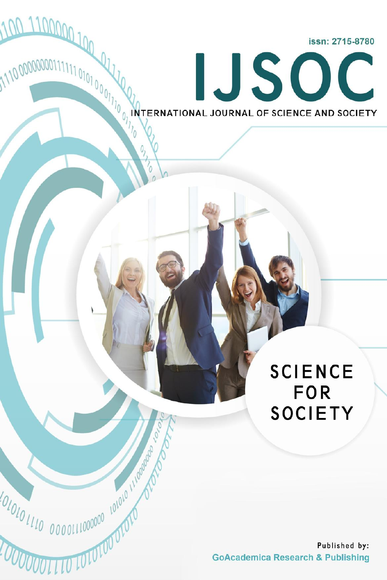issn: 2715-8780

IJSOC

INTERNATIONAL JOURNAL OF SCIENCE AND SOCIETY

100 110000 100 11

110000000011111101010001110001110

**COLLID INTOLOODIO** 

 $\mathcal{O}_{\lambda}$ 

Moto

# **SCIENCE FOR SOCIETY**

Published by: **GoAcademica Research & Publishing**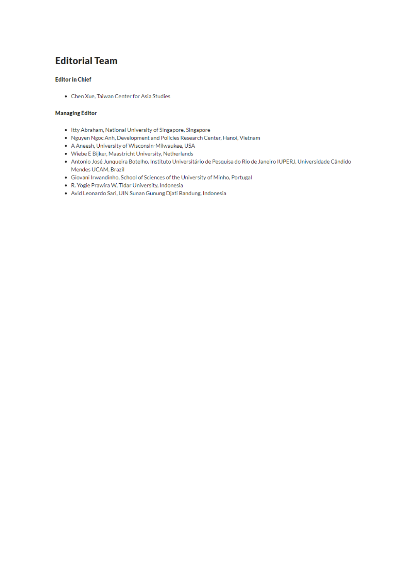# **Editorial Team**

#### **Editor in Chief**

• Chen Xue, Taiwan Center for Asia Studies

#### **Managing Editor**

- . Itty Abraham, National University of Singapore, Singapore
- . Nguyen Ngoc Anh, Development and Policies Research Center, Hanoi, Vietnam
- A Aneesh, University of Wisconsin-Milwaukee, USA
- · Wiebe E Bijker, Maastricht University, Netherlands
- · Antonio José Junqueira Botelho, Instituto Universitário de Pesquisa do Rio de Janeiro IUPERJ, Universidade Cândido Mendes UCAM, Brazil
- · Giovani Irwandinho, School of Sciences of the University of Minho, Portugal
- . R. Yogie Prawira W, Tidar University, Indonesia
- · Avid Leonardo Sari, UIN Sunan Gunung Djati Bandung, Indonesia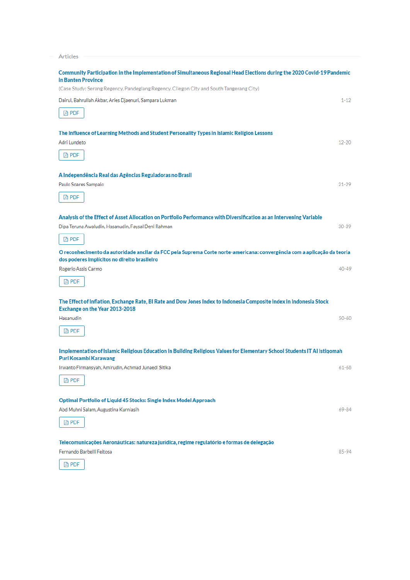| Articles                                                                                                                                              |           |
|-------------------------------------------------------------------------------------------------------------------------------------------------------|-----------|
|                                                                                                                                                       |           |
| Community Participation in the Implementation of Simultaneous Regional Head Elections during the 2020 Covid-19 Pandemic<br><b>in Banten Province</b>  |           |
| (Case Study: Serang Regency, Pandeglang Regency, Cilegon City and South Tangerang City)                                                               |           |
| Dairul, Bahrullah Akbar, Aries Djaenuri, Sampara Lukman                                                                                               | $1 - 12$  |
| <b>A</b> PDF                                                                                                                                          |           |
|                                                                                                                                                       |           |
| The Influence of Learning Methods and Student Personality Types in Islamic Religion Lessons                                                           |           |
| Adri Lundeto                                                                                                                                          | $12 - 20$ |
| Da PDF                                                                                                                                                |           |
|                                                                                                                                                       |           |
| A Independência Real das Agências Reguladoras no Brasil<br>Paulo Soares Sampaio                                                                       | $21 - 29$ |
|                                                                                                                                                       |           |
| D PDF                                                                                                                                                 |           |
| Analysis of the Effect of Asset Allocation on Portfolio Performance with Diversification as an Intervening Variable                                   |           |
| Dipa Teruna Awaludin, Hasanudin, Faysal Deni Rahman                                                                                                   | $30 - 39$ |
| <b>四 PDF</b>                                                                                                                                          |           |
| O reconhecimento da autoridade ancilar da FCC pela Suprema Corte norte-americana: convergência com a aplicação da teoria                              |           |
| dos poderes implícitos no direito brasileiro                                                                                                          |           |
| Rogerio Assis Carmo                                                                                                                                   | 40-49     |
| De PDF                                                                                                                                                |           |
|                                                                                                                                                       |           |
| The Effect of Inflation, Exchange Rate, BI Rate and Dow Jones Index to Indonesia Composite Index in Indonesia Stock<br>Exchange on the Year 2013-2018 |           |
| Hasanudin                                                                                                                                             | $50 - 60$ |
| D PDF                                                                                                                                                 |           |
|                                                                                                                                                       |           |
| Implementation of Islamic Religious Education in Building Religious Values for Elementary School Students IT AI Istiqomah                             |           |
| Puri Kosambi Karawang                                                                                                                                 |           |
| Irwanto Firmansyah, Amirudin, Achmad Junaedi Sitika                                                                                                   | $61 - 68$ |
| <b>四 PDF</b>                                                                                                                                          |           |
| Optimal Portfolio of Liquid 45 Stocks: Single Index Model Approach                                                                                    |           |
| Abd Muhni Salam, Augustina Kurniasih                                                                                                                  | 69-84     |
| D PDF                                                                                                                                                 |           |
|                                                                                                                                                       |           |
| Telecomunicações Aeronáuticas: natureza jurídica, regime regulatório e formas de delegação                                                            |           |
| Fernando Barbelli Feitosa                                                                                                                             | 85-94     |
|                                                                                                                                                       |           |

 $\left[ \begin{array}{ccc} \boxtimes & \text{PDF} \end{array} \right]$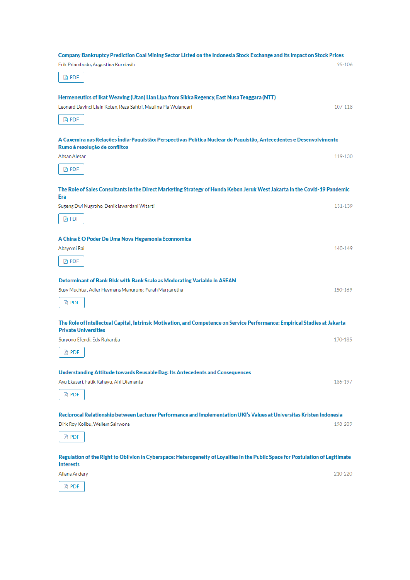| Company Bankruptcy Prediction Coal Mining Sector Listed on the Indonesia Stock Exchange and Its Impact on Stock Prices                                     |         |  |
|------------------------------------------------------------------------------------------------------------------------------------------------------------|---------|--|
| Erik Priambodo, Augustina Kurniasih                                                                                                                        | 95-106  |  |
| <b>四 PDF</b>                                                                                                                                               |         |  |
| Hermeneutics of Ikat Weaving (Utan) Lian Lipa from Sikka Regency, East Nusa Tenggara (NTT)                                                                 |         |  |
| Leonard Davinci Elain Koten, Reza Safitri, Maulina Pia Wulandari                                                                                           | 107-118 |  |
| <b>四 PDF</b>                                                                                                                                               |         |  |
| A Caxemira nas Relações Índia-Paquistão: Perspectivas Política Nuclear do Paquistão, Antecedentes e Desenvolvimento<br>Rumo à resolução de conflitos       |         |  |
| Ahsan Alesar                                                                                                                                               | 119-130 |  |
| <b>四 PDF</b>                                                                                                                                               |         |  |
| The Role of Sales Consultants in the Direct Marketing Strategy of Honda Kebon Jeruk West Jakarta in the Covid-19 Pandemic<br>Era                           |         |  |
| Sugeng Dwi Nugroho, Denik Iswardani Witarti                                                                                                                | 131-139 |  |
| D PDF                                                                                                                                                      |         |  |
| A China E O Poder De Uma Nova Hegemonia Econnomica                                                                                                         |         |  |
| Abayomi Bai                                                                                                                                                | 140-149 |  |
| D PDF                                                                                                                                                      |         |  |
| Determinant of Bank Risk with Bank Scale as Moderating Variable in ASEAN                                                                                   |         |  |
| Susy Muchtar, Adler Haymans Manurung, Farah Margaretha                                                                                                     | 150-169 |  |
| D PDF                                                                                                                                                      |         |  |
| The Role of Intellectual Capital, Intrinsic Motivation, and Competence on Service Performance: Empirical Studies at Jakarta<br><b>Private Universities</b> |         |  |
| Suryono Efendi, Edy Rahardja                                                                                                                               | 170-185 |  |
| DA PDF                                                                                                                                                     |         |  |
| Understanding Attitude towards Reusable Bag: Its Antecedents and Consequences                                                                              |         |  |
| Ayu Ekasari, Fatik Rahayu, Afif Diamanta                                                                                                                   | 186-197 |  |
| D PDF                                                                                                                                                      |         |  |
| Reciprocal Relationship between Lecturer Performance and Implementation UKI's Values at Universitas Kristen Indonesia                                      |         |  |
| Dirk Roy Kolibu, Wellem Sairwona                                                                                                                           | 198-209 |  |
| Da PDF                                                                                                                                                     |         |  |
| Regulation of the Right to Oblivion in Cyberspace: Heterogeneity of Loyalties in the Public Space for Postulation of Legitimate<br><b>Interests</b>        |         |  |
| Allana Andery                                                                                                                                              | 210-220 |  |
| Da PDF                                                                                                                                                     |         |  |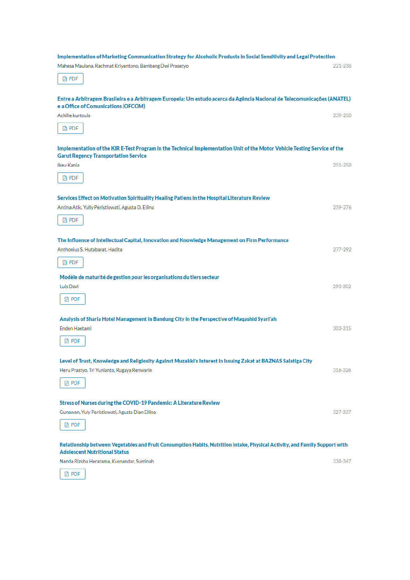| Implementation of Marketing Communication Strategy for Alcoholic Products in Social Sensitivity and Legal Protection                                                     |         |
|--------------------------------------------------------------------------------------------------------------------------------------------------------------------------|---------|
| Mahesa Maulana, Rachmat Kriyantono, Bambang Dwi Prasetyo                                                                                                                 | 221-238 |
| D PDF                                                                                                                                                                    |         |
| Entre a Arbitragem Brasileira e a Arbitragem Europeia: Um estudo acerca da Agência Nacional de Telecomunicações (ANATEL)<br>e a Office of Comunications (OFCOM)          |         |
| Achille kurtouis                                                                                                                                                         | 239-250 |
| <b>四 PDF</b>                                                                                                                                                             |         |
| Implementation of the KIR E-Test Program in the Technical Implementation Unit of the Motor Vehicle Testing Service of the<br><b>Garut Regency Transportation Service</b> |         |
| Ikeu Kania                                                                                                                                                               | 251-258 |
| <b>四 PDF</b>                                                                                                                                                             |         |
| Services Effect on Motivation Spirituality Healing Patiens in the Hospital Literature Review                                                                             |         |
| Antina Atik, Yully Peristiowati, Agusta D. Ellina                                                                                                                        | 259-276 |
| D PDF                                                                                                                                                                    |         |
| The Influence of Intellectual Capital, Innovation and Knowledge Management on Firm Performance                                                                           |         |
| Anthonius S. Hutabarat, Hadita                                                                                                                                           | 277-292 |
| <b>四 PDF</b>                                                                                                                                                             |         |
| Modèle de maturité de gestion pour les organisations du tiers secteur                                                                                                    |         |
| Luis Davi                                                                                                                                                                | 293-302 |
| <b>四 PDF</b>                                                                                                                                                             |         |
| Analysis of Sharia Hotel Management in Bandung City in the Perspective of Maqashid Syari'ah                                                                              |         |
| Enden Haetami                                                                                                                                                            | 303-315 |
| DA PDF                                                                                                                                                                   |         |
| Level of Trust, Knowledge and Religiosity Against Muzakki's Interest in Issuing Zakat at BAZNAS Salatiga City                                                            |         |
| Heru Prastyo, Tri Yunianto, Rugaya Renwarin                                                                                                                              | 316-326 |
| Da PDF                                                                                                                                                                   |         |
| Stress of Nurses during the COVID-19 Pandemic: A Literature Review                                                                                                       |         |
| Gunawan, Yuly Peristiowati, Agusta Dian Ellina                                                                                                                           | 327-337 |
| <b>四 PDF</b>                                                                                                                                                             |         |
| Relationship between Vegetables and Fruit Consumption Habits, Nutrition Intake, Physical Activity, and Family Support with<br><b>Adolescent Nutritional Status</b>       |         |
| Nanda Rizkha Heratama, Kusnandar, Suminah                                                                                                                                | 338-347 |
| <b>四 PDF</b>                                                                                                                                                             |         |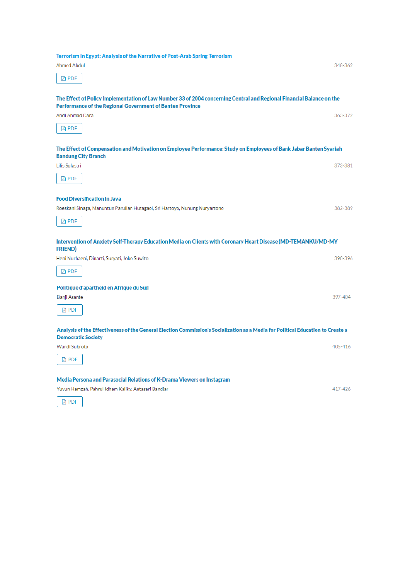| Terrorism in Egypt: Analysis of the Narrative of Post-Arab Spring Terrorism                                                                                  |         |
|--------------------------------------------------------------------------------------------------------------------------------------------------------------|---------|
| <b>Ahmed Abdul</b>                                                                                                                                           | 348-362 |
| <b>四 PDF</b>                                                                                                                                                 |         |
|                                                                                                                                                              |         |
| The Effect of Policy Implementation of Law Number 33 of 2004 concerning Central and Regional Financial Balance on the                                        |         |
| Performance of the Regional Government of Banten Province                                                                                                    |         |
| Andi Ahmad Dara                                                                                                                                              | 363-372 |
| <b>四 PDF</b>                                                                                                                                                 |         |
| The Effect of Compensation and Motivation on Employee Performance: Study on Employees of Bank Jabar Banten Syariah                                           |         |
| <b>Bandung City Branch</b>                                                                                                                                   |         |
| Lilis Sulastri                                                                                                                                               | 373-381 |
| DA PDF                                                                                                                                                       |         |
| <b>Food Diversification in Java</b>                                                                                                                          |         |
| Roeskani Sinaga, Manuntun Parulian Hutagaol, Sri Hartoyo, Nunung Nuryartono                                                                                  | 382-389 |
|                                                                                                                                                              |         |
| D PDF                                                                                                                                                        |         |
| Intervention of Anxiety Self-Therapy Education Media on Clients with Coronary Heart Disease (MD-TEMANKU/MD-MY                                                |         |
| <b>FRIEND)</b>                                                                                                                                               |         |
| Heni Nurhaeni, Dinarti, Suryati, Joko Suwito                                                                                                                 | 390-396 |
| D PDF                                                                                                                                                        |         |
| Politique d'apartheid en Afrique du Sud                                                                                                                      |         |
| Banji Asante                                                                                                                                                 | 397-404 |
| <b>四 PDF</b>                                                                                                                                                 |         |
|                                                                                                                                                              |         |
| Analysis of the Effectiveness of the General Election Commission's Socialization as a Media for Political Education to Create a<br><b>Democratic Society</b> |         |
| Wandi Subroto                                                                                                                                                | 405-416 |
| DA PDF                                                                                                                                                       |         |
|                                                                                                                                                              |         |
| Media Persona and Parasocial Relations of K-Drama Viewers on Instagram                                                                                       |         |
| Yuyun Hamzah, Pahrul Idham Kaliky, Antasari Bandjar                                                                                                          | 417-426 |
| <b>四 PDF</b>                                                                                                                                                 |         |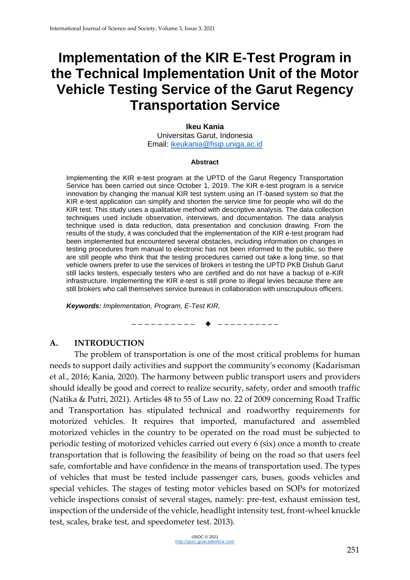# **Implementation of the KIR E-Test Program in the Technical Implementation Unit of the Motor Vehicle Testing Service of the Garut Regency Transportation Service**

#### **Ikeu Kania**

Universitas Garut, Indonesia Email: [ikeukania@fisip.uniga.ac.id](mailto:ikeukania@fisip.uniga.ac.id)

#### **Abstract**

Implementing the KIR e-test program at the UPTD of the Garut Regency Transportation Service has been carried out since October 1, 2019. The KIR e-test program is a service innovation by changing the manual KIR test system using an IT-based system so that the KIR e-test application can simplify and shorten the service time for people who will do the KIR test. This study uses a qualitative method with descriptive analysis. The data collection techniques used include observation, interviews, and documentation. The data analysis technique used is data reduction, data presentation and conclusion drawing. From the results of the study, it was concluded that the implementation of the KIR e-test program had been implemented but encountered several obstacles, including information on changes in testing procedures from manual to electronic has not been informed to the public, so there are still people who think that the testing procedures carried out take a long time, so that vehicle owners prefer to use the services of brokers in testing the UPTD PKB Dishub Garut still lacks testers, especially testers who are certified and do not have a backup of e-KIR infrastructure. Implementing the KIR e-test is still prone to illegal levies because there are still brokers who call themselves service bureaus in collaboration with unscrupulous officers.

*Keywords: Implementation, Program, E-Test KIR.*

—————————— ——————————

#### **A. INTRODUCTION**

The problem of transportation is one of the most critical problems for human needs to support daily activities and support the community's economy (Kadarisman et al., 2016; Kania, 2020). The harmony between public transport users and providers should ideally be good and correct to realize security, safety, order and smooth traffic (Natika & Putri, 2021). Articles 48 to 55 of Law no. 22 of 2009 concerning Road Traffic and Transportation has stipulated technical and roadworthy requirements for motorized vehicles. It requires that imported, manufactured and assembled motorized vehicles in the country to be operated on the road must be subjected to periodic testing of motorized vehicles carried out every 6 (six) once a month to create transportation that is following the feasibility of being on the road so that users feel safe, comfortable and have confidence in the means of transportation used. The types of vehicles that must be tested include passenger cars, buses, goods vehicles and special vehicles. The stages of testing motor vehicles based on SOPs for motorized vehicle inspections consist of several stages, namely: pre-test, exhaust emission test, inspection of the underside of the vehicle, headlight intensity test, front-wheel knuckle test, scales, brake test, and speedometer test. 2013).

> IJSOC © 2021 [http://ijsoc.goacademica.com](http://ijsoc.goacademica.com/)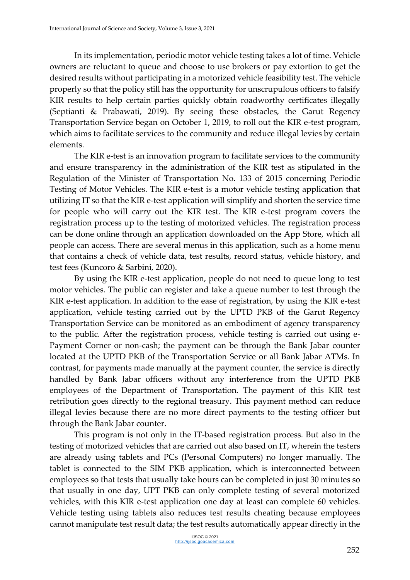In its implementation, periodic motor vehicle testing takes a lot of time. Vehicle owners are reluctant to queue and choose to use brokers or pay extortion to get the desired results without participating in a motorized vehicle feasibility test. The vehicle properly so that the policy still has the opportunity for unscrupulous officers to falsify KIR results to help certain parties quickly obtain roadworthy certificates illegally (Septianti & Prabawati, 2019). By seeing these obstacles, the Garut Regency Transportation Service began on October 1, 2019, to roll out the KIR e-test program, which aims to facilitate services to the community and reduce illegal levies by certain elements.

The KIR e-test is an innovation program to facilitate services to the community and ensure transparency in the administration of the KIR test as stipulated in the Regulation of the Minister of Transportation No. 133 of 2015 concerning Periodic Testing of Motor Vehicles. The KIR e-test is a motor vehicle testing application that utilizing IT so that the KIR e-test application will simplify and shorten the service time for people who will carry out the KIR test. The KIR e-test program covers the registration process up to the testing of motorized vehicles. The registration process can be done online through an application downloaded on the App Store, which all people can access. There are several menus in this application, such as a home menu that contains a check of vehicle data, test results, record status, vehicle history, and test fees (Kuncoro & Sarbini, 2020).

By using the KIR e-test application, people do not need to queue long to test motor vehicles. The public can register and take a queue number to test through the KIR e-test application. In addition to the ease of registration, by using the KIR e-test application, vehicle testing carried out by the UPTD PKB of the Garut Regency Transportation Service can be monitored as an embodiment of agency transparency to the public. After the registration process, vehicle testing is carried out using e-Payment Corner or non-cash; the payment can be through the Bank Jabar counter located at the UPTD PKB of the Transportation Service or all Bank Jabar ATMs. In contrast, for payments made manually at the payment counter, the service is directly handled by Bank Jabar officers without any interference from the UPTD PKB employees of the Department of Transportation. The payment of this KIR test retribution goes directly to the regional treasury. This payment method can reduce illegal levies because there are no more direct payments to the testing officer but through the Bank Jabar counter.

This program is not only in the IT-based registration process. But also in the testing of motorized vehicles that are carried out also based on IT, wherein the testers are already using tablets and PCs (Personal Computers) no longer manually. The tablet is connected to the SIM PKB application, which is interconnected between employees so that tests that usually take hours can be completed in just 30 minutes so that usually in one day, UPT PKB can only complete testing of several motorized vehicles, with this KIR e-test application one day at least can complete 60 vehicles. Vehicle testing using tablets also reduces test results cheating because employees cannot manipulate test result data; the test results automatically appear directly in the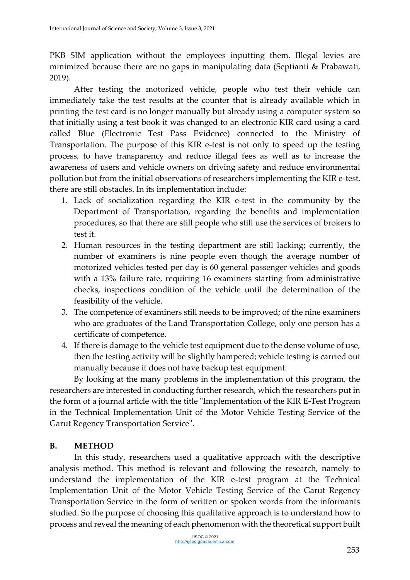PKB SIM application without the employees inputting them. Illegal levies are minimized because there are no gaps in manipulating data (Septianti & Prabawati, 2019).

After testing the motorized vehicle, people who test their vehicle can immediately take the test results at the counter that is already available which in printing the test card is no longer manually but already using a computer system so that initially using a test book it was changed to an electronic KIR card using a card called Blue (Electronic Test Pass Evidence) connected to the Ministry of Transportation. The purpose of this KIR e-test is not only to speed up the testing process, to have transparency and reduce illegal fees as well as to increase the awareness of users and vehicle owners on driving safety and reduce environmental pollution but from the initial observations of researchers implementing the KIR e-test, there are still obstacles. In its implementation include:

- 1. Lack of socialization regarding the KIR e-test in the community by the Department of Transportation, regarding the benefits and implementation procedures, so that there are still people who still use the services of brokers to test it.
- 2. Human resources in the testing department are still lacking; currently, the number of examiners is nine people even though the average number of motorized vehicles tested per day is 60 general passenger vehicles and goods with a 13% failure rate, requiring 16 examiners starting from administrative checks, inspections condition of the vehicle until the determination of the feasibility of the vehicle.
- 3. The competence of examiners still needs to be improved; of the nine examiners who are graduates of the Land Transportation College, only one person has a certificate of competence.
- 4. If there is damage to the vehicle test equipment due to the dense volume of use, then the testing activity will be slightly hampered; vehicle testing is carried out manually because it does not have backup test equipment.

By looking at the many problems in the implementation of this program, the researchers are interested in conducting further research, which the researchers put in the form of a journal article with the title "Implementation of the KIR E-Test Program in the Technical Implementation Unit of the Motor Vehicle Testing Service of the Garut Regency Transportation Service".

# **B. METHOD**

In this study, researchers used a qualitative approach with the descriptive analysis method. This method is relevant and following the research, namely to understand the implementation of the KIR e-test program at the Technical Implementation Unit of the Motor Vehicle Testing Service of the Garut Regency Transportation Service in the form of written or spoken words from the informants studied. So the purpose of choosing this qualitative approach is to understand how to process and reveal the meaning of each phenomenon with the theoretical support built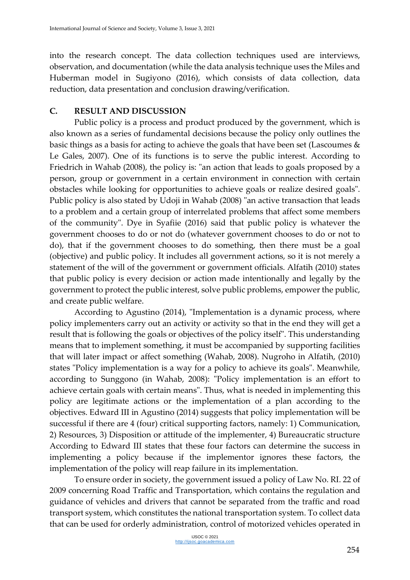into the research concept. The data collection techniques used are interviews, observation, and documentation (while the data analysis technique uses the Miles and Huberman model in Sugiyono (2016), which consists of data collection, data reduction, data presentation and conclusion drawing/verification.

### **C. RESULT AND DISCUSSION**

Public policy is a process and product produced by the government, which is also known as a series of fundamental decisions because the policy only outlines the basic things as a basis for acting to achieve the goals that have been set (Lascoumes & Le Gales, 2007). One of its functions is to serve the public interest. According to Friedrich in Wahab (2008), the policy is: "an action that leads to goals proposed by a person, group or government in a certain environment in connection with certain obstacles while looking for opportunities to achieve goals or realize desired goals". Public policy is also stated by Udoji in Wahab (2008) "an active transaction that leads to a problem and a certain group of interrelated problems that affect some members of the community". Dye in Syafiie (2016) said that public policy is whatever the government chooses to do or not do (whatever government chooses to do or not to do), that if the government chooses to do something, then there must be a goal (objective) and public policy. It includes all government actions, so it is not merely a statement of the will of the government or government officials. Alfatih (2010) states that public policy is every decision or action made intentionally and legally by the government to protect the public interest, solve public problems, empower the public, and create public welfare.

According to Agustino (2014), "Implementation is a dynamic process, where policy implementers carry out an activity or activity so that in the end they will get a result that is following the goals or objectives of the policy itself". This understanding means that to implement something, it must be accompanied by supporting facilities that will later impact or affect something (Wahab, 2008). Nugroho in Alfatih, (2010) states "Policy implementation is a way for a policy to achieve its goals". Meanwhile, according to Sunggono (in Wahab, 2008): "Policy implementation is an effort to achieve certain goals with certain means". Thus, what is needed in implementing this policy are legitimate actions or the implementation of a plan according to the objectives. Edward III in Agustino (2014) suggests that policy implementation will be successful if there are 4 (four) critical supporting factors, namely: 1) Communication, 2) Resources, 3) Disposition or attitude of the implementer, 4) Bureaucratic structure According to Edward III states that these four factors can determine the success in implementing a policy because if the implementor ignores these factors, the implementation of the policy will reap failure in its implementation.

To ensure order in society, the government issued a policy of Law No. RI. 22 of 2009 concerning Road Traffic and Transportation, which contains the regulation and guidance of vehicles and drivers that cannot be separated from the traffic and road transport system, which constitutes the national transportation system. To collect data that can be used for orderly administration, control of motorized vehicles operated in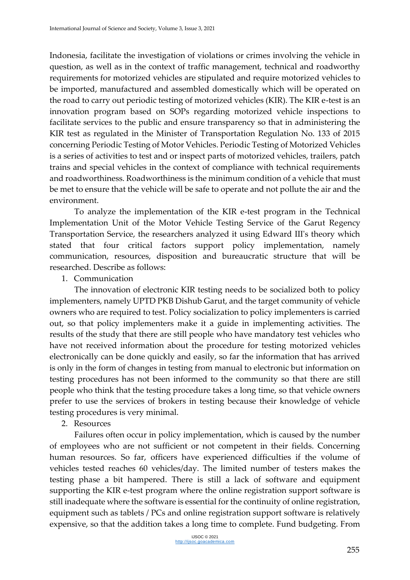Indonesia, facilitate the investigation of violations or crimes involving the vehicle in question, as well as in the context of traffic management, technical and roadworthy requirements for motorized vehicles are stipulated and require motorized vehicles to be imported, manufactured and assembled domestically which will be operated on the road to carry out periodic testing of motorized vehicles (KIR). The KIR e-test is an innovation program based on SOPs regarding motorized vehicle inspections to facilitate services to the public and ensure transparency so that in administering the KIR test as regulated in the Minister of Transportation Regulation No. 133 of 2015 concerning Periodic Testing of Motor Vehicles. Periodic Testing of Motorized Vehicles is a series of activities to test and or inspect parts of motorized vehicles, trailers, patch trains and special vehicles in the context of compliance with technical requirements and roadworthiness. Roadworthiness is the minimum condition of a vehicle that must be met to ensure that the vehicle will be safe to operate and not pollute the air and the environment.

To analyze the implementation of the KIR e-test program in the Technical Implementation Unit of the Motor Vehicle Testing Service of the Garut Regency Transportation Service, the researchers analyzed it using Edward III's theory which stated that four critical factors support policy implementation, namely communication, resources, disposition and bureaucratic structure that will be researched. Describe as follows:

1. Communication

The innovation of electronic KIR testing needs to be socialized both to policy implementers, namely UPTD PKB Dishub Garut, and the target community of vehicle owners who are required to test. Policy socialization to policy implementers is carried out, so that policy implementers make it a guide in implementing activities. The results of the study that there are still people who have mandatory test vehicles who have not received information about the procedure for testing motorized vehicles electronically can be done quickly and easily, so far the information that has arrived is only in the form of changes in testing from manual to electronic but information on testing procedures has not been informed to the community so that there are still people who think that the testing procedure takes a long time, so that vehicle owners prefer to use the services of brokers in testing because their knowledge of vehicle testing procedures is very minimal.

#### 2. Resources

Failures often occur in policy implementation, which is caused by the number of employees who are not sufficient or not competent in their fields. Concerning human resources. So far, officers have experienced difficulties if the volume of vehicles tested reaches 60 vehicles/day. The limited number of testers makes the testing phase a bit hampered. There is still a lack of software and equipment supporting the KIR e-test program where the online registration support software is still inadequate where the software is essential for the continuity of online registration, equipment such as tablets / PCs and online registration support software is relatively expensive, so that the addition takes a long time to complete. Fund budgeting. From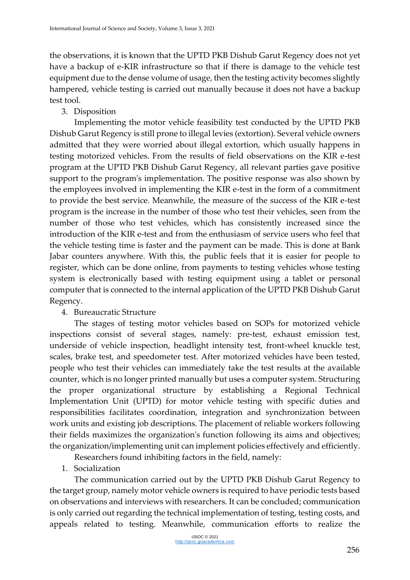the observations, it is known that the UPTD PKB Dishub Garut Regency does not yet have a backup of e-KIR infrastructure so that if there is damage to the vehicle test equipment due to the dense volume of usage, then the testing activity becomes slightly hampered, vehicle testing is carried out manually because it does not have a backup test tool.

3. Disposition

Implementing the motor vehicle feasibility test conducted by the UPTD PKB Dishub Garut Regency is still prone to illegal levies (extortion). Several vehicle owners admitted that they were worried about illegal extortion, which usually happens in testing motorized vehicles. From the results of field observations on the KIR e-test program at the UPTD PKB Dishub Garut Regency, all relevant parties gave positive support to the program's implementation. The positive response was also shown by the employees involved in implementing the KIR e-test in the form of a commitment to provide the best service. Meanwhile, the measure of the success of the KIR e-test program is the increase in the number of those who test their vehicles, seen from the number of those who test vehicles, which has consistently increased since the introduction of the KIR e-test and from the enthusiasm of service users who feel that the vehicle testing time is faster and the payment can be made. This is done at Bank Jabar counters anywhere. With this, the public feels that it is easier for people to register, which can be done online, from payments to testing vehicles whose testing system is electronically based with testing equipment using a tablet or personal computer that is connected to the internal application of the UPTD PKB Dishub Garut Regency.

# 4. Bureaucratic Structure

The stages of testing motor vehicles based on SOPs for motorized vehicle inspections consist of several stages, namely: pre-test, exhaust emission test, underside of vehicle inspection, headlight intensity test, front-wheel knuckle test, scales, brake test, and speedometer test. After motorized vehicles have been tested, people who test their vehicles can immediately take the test results at the available counter, which is no longer printed manually but uses a computer system. Structuring the proper organizational structure by establishing a Regional Technical Implementation Unit (UPTD) for motor vehicle testing with specific duties and responsibilities facilitates coordination, integration and synchronization between work units and existing job descriptions. The placement of reliable workers following their fields maximizes the organization's function following its aims and objectives; the organization/implementing unit can implement policies effectively and efficiently.

Researchers found inhibiting factors in the field, namely:

1. Socialization

The communication carried out by the UPTD PKB Dishub Garut Regency to the target group, namely motor vehicle owners is required to have periodic tests based on observations and interviews with researchers. It can be concluded; communication is only carried out regarding the technical implementation of testing, testing costs, and appeals related to testing. Meanwhile, communication efforts to realize the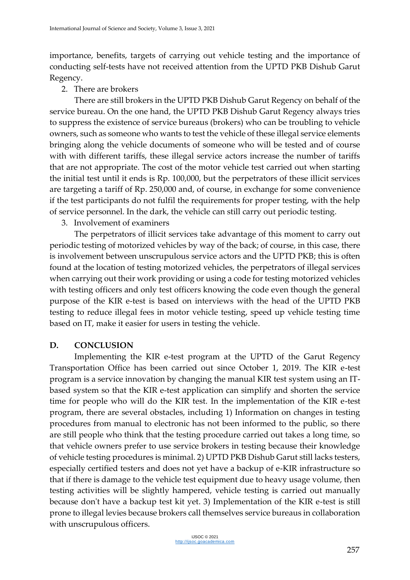importance, benefits, targets of carrying out vehicle testing and the importance of conducting self-tests have not received attention from the UPTD PKB Dishub Garut Regency.

#### 2. There are brokers

There are still brokers in the UPTD PKB Dishub Garut Regency on behalf of the service bureau. On the one hand, the UPTD PKB Dishub Garut Regency always tries to suppress the existence of service bureaus (brokers) who can be troubling to vehicle owners, such as someone who wants to test the vehicle of these illegal service elements bringing along the vehicle documents of someone who will be tested and of course with with different tariffs, these illegal service actors increase the number of tariffs that are not appropriate. The cost of the motor vehicle test carried out when starting the initial test until it ends is Rp. 100,000, but the perpetrators of these illicit services are targeting a tariff of Rp. 250,000 and, of course, in exchange for some convenience if the test participants do not fulfil the requirements for proper testing, with the help of service personnel. In the dark, the vehicle can still carry out periodic testing.

#### 3. Involvement of examiners

The perpetrators of illicit services take advantage of this moment to carry out periodic testing of motorized vehicles by way of the back; of course, in this case, there is involvement between unscrupulous service actors and the UPTD PKB; this is often found at the location of testing motorized vehicles, the perpetrators of illegal services when carrying out their work providing or using a code for testing motorized vehicles with testing officers and only test officers knowing the code even though the general purpose of the KIR e-test is based on interviews with the head of the UPTD PKB testing to reduce illegal fees in motor vehicle testing, speed up vehicle testing time based on IT, make it easier for users in testing the vehicle.

### **D. CONCLUSION**

Implementing the KIR e-test program at the UPTD of the Garut Regency Transportation Office has been carried out since October 1, 2019. The KIR e-test program is a service innovation by changing the manual KIR test system using an ITbased system so that the KIR e-test application can simplify and shorten the service time for people who will do the KIR test. In the implementation of the KIR e-test program, there are several obstacles, including 1) Information on changes in testing procedures from manual to electronic has not been informed to the public, so there are still people who think that the testing procedure carried out takes a long time, so that vehicle owners prefer to use service brokers in testing because their knowledge of vehicle testing procedures is minimal. 2) UPTD PKB Dishub Garut still lacks testers, especially certified testers and does not yet have a backup of e-KIR infrastructure so that if there is damage to the vehicle test equipment due to heavy usage volume, then testing activities will be slightly hampered, vehicle testing is carried out manually because don't have a backup test kit yet. 3) Implementation of the KIR e-test is still prone to illegal levies because brokers call themselves service bureaus in collaboration with unscrupulous officers.

> IJSOC © 2021 [http://ijsoc.goacademica.com](http://ijsoc.goacademica.com/)